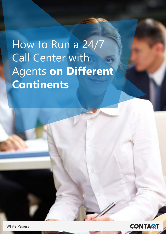# How to Run a 24/7 **Call Center with Agents on Different Continents**



**White Papers**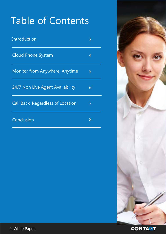## Table of Contents

| Introduction                          | 3 |
|---------------------------------------|---|
| <b>Cloud Phone System</b>             | 4 |
| <b>Monitor from Anywhere, Anytime</b> | 5 |
| 24/7 Non Live Agent Availability      | 6 |
| Call Back, Regardless of Location     | 7 |
| Conclusion                            | 8 |

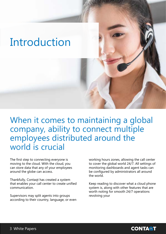#### <span id="page-2-0"></span>Introduction

When it comes to maintaining a global company, ability to connect multiple employees distributed around the world is crucial

The first step to connecting everyone is moving to the cloud. With the cloud, you can store data that any of your employees around the globe can access.

Thankfully, Contaqt has created a system that enables your call center to create unified .communication

Supervisors may split agents into groups according to their country, language, or even

working hours zones, allowing the call center to cover the global world 24/7. All settings of monitoring dashboards and agent tasks can be configured by administrators all around the world

Keep reading to discover what a cloud phone system is, along with other features that are worth noting for smooth 24/7 operations revolving your

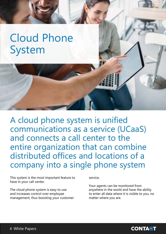## <span id="page-3-0"></span>**Cloud Phone** System

A cloud phone system is unified communications as a service (UCaaS) and connects a call center to the entire organization that can combine distributed offices and locations of a company into a single phone system

This system is the most important feature to have in your call center.

The cloud phone system is easy to use and increases control over employee management, thus boosting your customer service.

Your agents can be monitored from anywhere in the world and have the ability to enter all data where it is visible to you, no matter where you are.

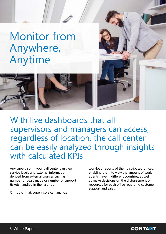<span id="page-4-0"></span>**Monitor from**  ,Anywhere Anytime



With live dashboards that all supervisors and managers can access, regardless of location, the call center can be easily analyzed through insights with calculated KPIs

Any supervisor in your call center can view service levels and external information derived from external sources such as number of deals made or number of support tickets handled in the last hour

On top of that, supervisors can analyze

workload reports of their distributed offices, enabling them to view the amount of work agents have in different countries, as well as make decisions on the disbursement of resources for each office regarding customer support and sales.

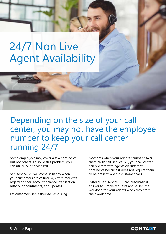## <span id="page-5-0"></span>24/7 Non Live **Agent Availability**

#### Depending on the size of your call center, you may not have the employee number to keep your call center running 24/7

Some employees may cover a few continents but not others. To solve this problem, you can utilize self-service IVR.

Self-service IVR will come in handy when your customers are calling 24/7 with requests regarding their account balance, transaction history, appointments, and updates.

Let customers serve themselves during

moments when your agents cannot answer them. With self-service IVR, your call center can operate with agents on different continents because it does not require them to be present when a customer calls.

Instead, self-service IVR can automatically answer to simple requests and lessen the workload for your agents when they start their work days.

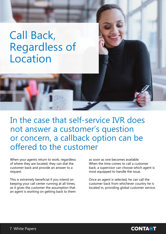## <span id="page-6-0"></span>Call Back, **Regardless of** Location

In the case that self-service IVR does not answer a customer's question or concern, a callback option can be offered to the customer

When your agents return to work, regardless of where they are located, they can dial the customer back and provide an answer to a .request

This is extremely beneficial if you intend on keeping your call center running at all times, as it gives the customer the assumption that an agent is working on getting back to them as soon as one becomes available. When the time comes to call a customer back, a supervisor can choose which agent is most equipped to handle the issue.

Once an agent is selected, he can call the customer back from whichever country he is located in, providing global customer service.